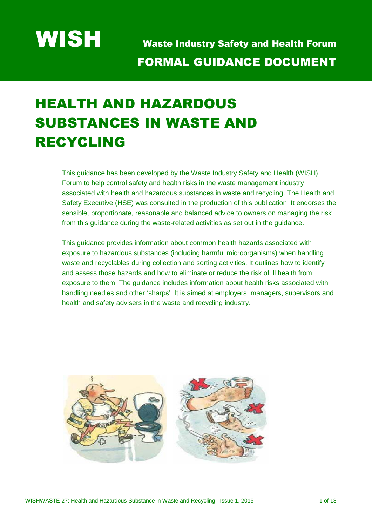# HEALTH AND HAZARDOUS SUBSTANCES IN WASTE AND RECYCLING

This guidance has been developed by the Waste Industry Safety and Health (WISH) Forum to help control safety and health risks in the waste management industry associated with health and hazardous substances in waste and recycling. The Health and Safety Executive (HSE) was consulted in the production of this publication. It endorses the sensible, proportionate, reasonable and balanced advice to owners on managing the risk from this guidance during the waste-related activities as set out in the guidance.

This guidance provides information about common health hazards associated with exposure to hazardous substances (including harmful microorganisms) when handling waste and recyclables during collection and sorting activities. It outlines how to identify and assess those hazards and how to eliminate or reduce the risk of ill health from exposure to them. The guidance includes information about health risks associated with handling needles and other 'sharps'. It is aimed at employers, managers, supervisors and health and safety advisers in the waste and recycling industry.

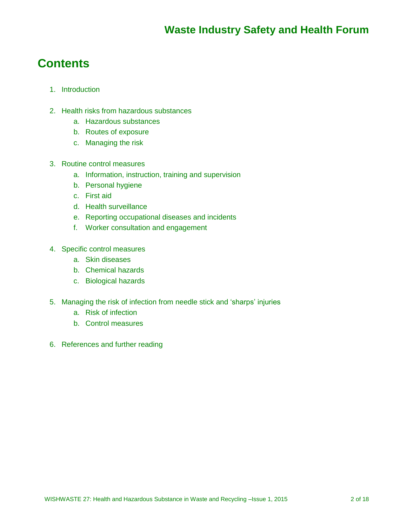# **Contents**

- 1. Introduction
- 2. Health risks from hazardous substances
	- a. Hazardous substances
	- b. Routes of exposure
	- c. Managing the risk
- 3. Routine control measures
	- a. Information, instruction, training and supervision
	- b. Personal hygiene
	- c. First aid
	- d. Health surveillance
	- e. Reporting occupational diseases and incidents
	- f. Worker consultation and engagement
- 4. Specific control measures
	- a. Skin diseases
	- b. Chemical hazards
	- c. Biological hazards
- 5. Managing the risk of infection from needle stick and 'sharps' injuries
	- a. Risk of infection
	- b. Control measures
- 6. References and further reading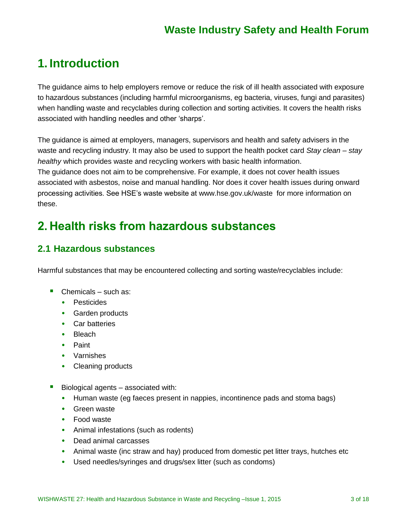# **1. Introduction**

The guidance aims to help employers remove or reduce the risk of ill health associated with exposure to hazardous substances (including harmful microorganisms, eg bacteria, viruses, fungi and parasites) when handling waste and recyclables during collection and sorting activities. It covers the health risks associated with handling needles and other 'sharps'.

The guidance is aimed at employers, managers, supervisors and health and safety advisers in the waste and recycling industry. It may also be used to support the health pocket card *Stay clean – stay healthy* which provides waste and recycling workers with basic health information. The guidance does not aim to be comprehensive. For example, it does not cover health issues associated with asbestos, noise and manual handling. Nor does it cover health issues during onward processing activities. See HSE's waste website at [www.hse.gov.uk/waste](http://www.hse.gov.uk/waste) for more information on these.

# **2. Health risks from hazardous substances**

### **2.1 Hazardous substances**

Harmful substances that may be encountered collecting and sorting waste/recyclables include:

- Chemicals such as:
	- Pesticides
	- Garden products
	- Car batteries
	- Bleach
	- Paint
	- Varnishes
	- Cleaning products
- Biological agents associated with:
	- Human waste (eg faeces present in nappies, incontinence pads and stoma bags)
	- Green waste
	- Food waste
	- Animal infestations (such as rodents)
	- Dead animal carcasses
	- Animal waste (inc straw and hay) produced from domestic pet litter trays, hutches etc
	- Used needles/syringes and drugs/sex litter (such as condoms)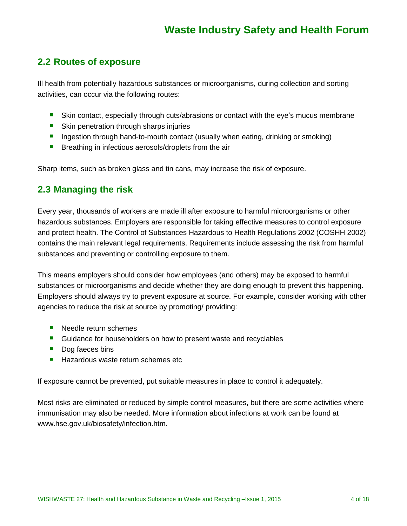### **2.2 Routes of exposure**

Ill health from potentially hazardous substances or microorganisms, during collection and sorting activities, can occur via the following routes:

- Skin contact, especially through cuts/abrasions or contact with the eye's mucus membrane
- Skin penetration through sharps injuries
- **Ingestion through hand-to-mouth contact (usually when eating, drinking or smoking)**
- **Breathing in infectious aerosols/droplets from the air**

Sharp items, such as broken glass and tin cans, may increase the risk of exposure.

### **2.3 Managing the risk**

Every year, thousands of workers are made ill after exposure to harmful microorganisms or other hazardous substances. Employers are responsible for taking effective measures to control exposure and protect health. The Control of Substances Hazardous to Health Regulations 2002 (COSHH 2002) contains the main relevant legal requirements. Requirements include assessing the risk from harmful substances and preventing or controlling exposure to them.

This means employers should consider how employees (and others) may be exposed to harmful substances or microorganisms and decide whether they are doing enough to prevent this happening. Employers should always try to prevent exposure at source. For example, consider working with other agencies to reduce the risk at source by promoting/ providing:

- Needle return schemes
- **Guidance for householders on how to present waste and recyclables**
- Dog faeces bins
- Hazardous waste return schemes etc

If exposure cannot be prevented, put suitable measures in place to control it adequately.

Most risks are eliminated or reduced by simple control measures, but there are some activities where immunisation may also be needed. More information about infections at work can be found at [www.hse.gov.uk/biosafety/infection.htm.](http://www.hse.gov.uk/biosafety/infection.htm.5)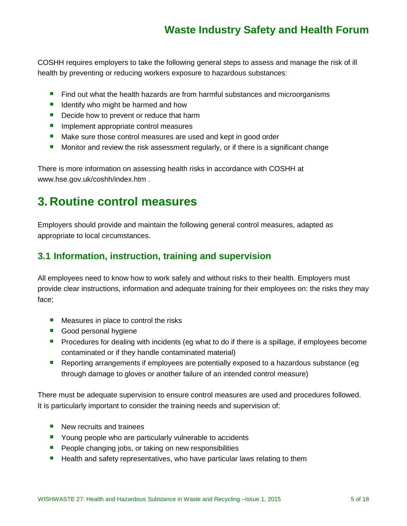COSHH requires employers to take the following general steps to assess and manage the risk of ill health by preventing or reducing workers exposure to hazardous substances:

- **Find out what the health hazards are from harmful substances and microorganisms**
- $\blacksquare$  Identify who might be harmed and how
- Decide how to prevent or reduce that harm
- **Implement appropriate control measures**
- Make sure those control measures are used and kept in good order
- **Monitor and review the risk assessment regularly, or if there is a significant change**

There is more information on assessing health risks in accordance with COSHH at [www.hse.gov.uk/coshh/index.htm](http://www.hse.gov.uk/coshh/index.htm) .

# **3. Routine control measures**

Employers should provide and maintain the following general control measures, adapted as appropriate to local circumstances.

### **3.1 Information, instruction, training and supervision**

All employees need to know how to work safely and without risks to their health. Employers must provide clear instructions, information and adequate training for their employees on: the risks they may face;

- **Measures in place to control the risks**
- Good personal hygiene
- **Procedures for dealing with incidents (eg what to do if there is a spillage, if employees become** contaminated or if they handle contaminated material)
- Reporting arrangements if employees are potentially exposed to a hazardous substance (eg through damage to gloves or another failure of an intended control measure)

There must be adequate supervision to ensure control measures are used and procedures followed. It is particularly important to consider the training needs and supervision of:

- New recruits and trainees
- **P** Young people who are particularly vulnerable to accidents
- **People changing jobs, or taking on new responsibilities**
- **Health and safety representatives, who have particular laws relating to them**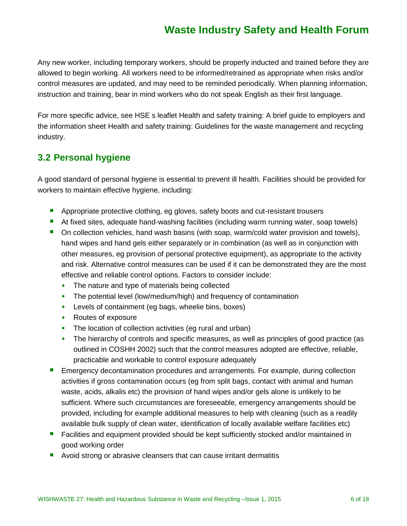Any new worker, including temporary workers, should be properly inducted and trained before they are allowed to begin working. All workers need to be informed/retrained as appropriate when risks and/or control measures are updated, and may need to be reminded periodically. When planning information, instruction and training, bear in mind workers who do not speak English as their first language.

For more specific advice, see HSE s leaflet Health and safety training: A brief guide to employers and the information sheet Health and safety training: Guidelines for the waste management and recycling industry.

### **3.2 Personal hygiene**

A good standard of personal hygiene is essential to prevent ill health. Facilities should be provided for workers to maintain effective hygiene, including:

- **•** Appropriate protective clothing, eg gloves, safety boots and cut-resistant trousers
- At fixed sites, adequate hand-washing facilities (including warm running water, soap towels)
- On collection vehicles, hand wash basins (with soap, warm/cold water provision and towels), hand wipes and hand gels either separately or in combination (as well as in conjunction with other measures, eg provision of personal protective equipment), as appropriate to the activity and risk. Alternative control measures can be used if it can be demonstrated they are the most effective and reliable control options. Factors to consider include:
	- The nature and type of materials being collected
	- The potential level (low/medium/high) and frequency of contamination
	- Levels of containment (eg bags, wheelie bins, boxes)
	- Routes of exposure
	- The location of collection activities (eg rural and urban)
	- The hierarchy of controls and specific measures, as well as principles of good practice (as outlined in COSHH 2002) such that the control measures adopted are effective, reliable, practicable and workable to control exposure adequately
- Emergency decontamination procedures and arrangements. For example, during collection activities if gross contamination occurs (eg from split bags, contact with animal and human waste, acids, alkalis etc) the provision of hand wipes and/or gels alone is unlikely to be sufficient. Where such circumstances are foreseeable, emergency arrangements should be provided, including for example additional measures to help with cleaning (such as a readily available bulk supply of clean water, identification of locally available welfare facilities etc)
- **Facilities and equipment provided should be kept sufficiently stocked and/or maintained in** good working order
- **Avoid strong or abrasive cleansers that can cause irritant dermatitis**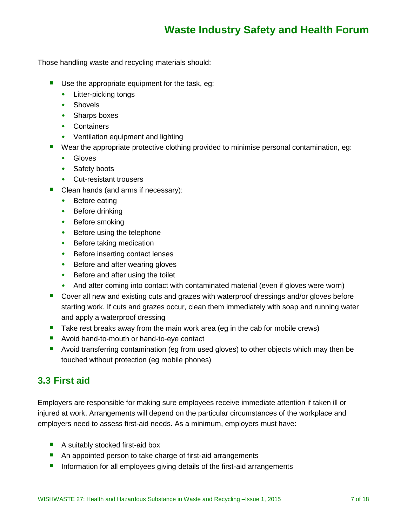Those handling waste and recycling materials should:

- Use the appropriate equipment for the task, eg:
	- Litter-picking tongs
	- Shovels
	- Sharps boxes
	- Containers
	- Ventilation equipment and lighting
- Wear the appropriate protective clothing provided to minimise personal contamination, eg:
	- Gloves
	- Safety boots
	- Cut-resistant trousers
- Clean hands (and arms if necessary):
	- Before eating
	- Before drinking
	- Before smoking
	- Before using the telephone
	- Before taking medication
	- Before inserting contact lenses
	- Before and after wearing gloves
	- Before and after using the toilet
	- And after coming into contact with contaminated material (even if gloves were worn)
- Cover all new and existing cuts and grazes with waterproof dressings and/or gloves before starting work. If cuts and grazes occur, clean them immediately with soap and running water and apply a waterproof dressing
- Take rest breaks away from the main work area (eg in the cab for mobile crews)
- **Avoid hand-to-mouth or hand-to-eye contact**
- Avoid transferring contamination (eg from used gloves) to other objects which may then be touched without protection (eg mobile phones)

### **3.3 First aid**

Employers are responsible for making sure employees receive immediate attention if taken ill or injured at work. Arrangements will depend on the particular circumstances of the workplace and employers need to assess first-aid needs. As a minimum, employers must have:

- A suitably stocked first-aid box
- An appointed person to take charge of first-aid arrangements
- Information for all employees giving details of the first-aid arrangements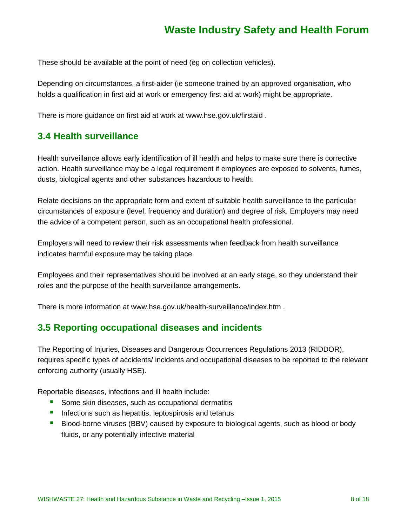These should be available at the point of need (eg on collection vehicles).

Depending on circumstances, a first-aider (ie someone trained by an approved organisation, who holds a qualification in first aid at work or emergency first aid at work) might be appropriate.

There is more guidance on first aid at work at [www.hse.gov.uk/firstaid](http://www.hse.gov.uk/firstaid) .

### **3.4 Health surveillance**

Health surveillance allows early identification of ill health and helps to make sure there is corrective action. Health surveillance may be a legal requirement if employees are exposed to solvents, fumes, dusts, biological agents and other substances hazardous to health.

Relate decisions on the appropriate form and extent of suitable health surveillance to the particular circumstances of exposure (level, frequency and duration) and degree of risk. Employers may need the advice of a competent person, such as an occupational health professional.

Employers will need to review their risk assessments when feedback from health surveillance indicates harmful exposure may be taking place.

Employees and their representatives should be involved at an early stage, so they understand their roles and the purpose of the health surveillance arrangements.

There is more information at [www.hse.gov.uk/health-surveillance/index.htm](http://www.hse.gov.uk/health-surveillance/index.htm) .

### **3.5 Reporting occupational diseases and incidents**

The Reporting of Injuries, Diseases and Dangerous Occurrences Regulations 2013 (RIDDOR), requires specific types of accidents/ incidents and occupational diseases to be reported to the relevant enforcing authority (usually HSE).

Reportable diseases, infections and ill health include:

- Some skin diseases, such as occupational dermatitis
- **Infections such as hepatitis, leptospirosis and tetanus**
- **Blood-borne viruses (BBV) caused by exposure to biological agents, such as blood or body** fluids, or any potentially infective material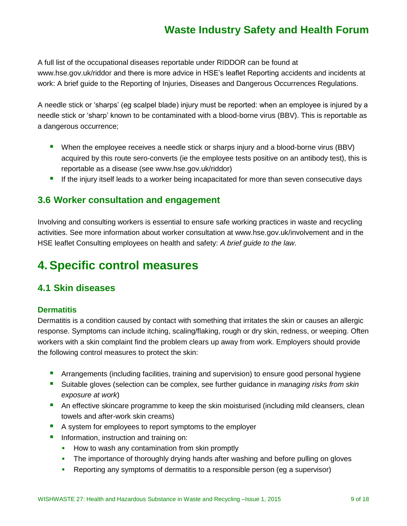A full list of the occupational diseases reportable under RIDDOR can be found at [www.hse.gov.uk/riddor](http://www.hse.gov.uk/riddor) and there is more advice in HSE's leaflet Reporting accidents and incidents at work: A brief guide to the Reporting of Injuries, Diseases and Dangerous Occurrences Regulations.

A needle stick or 'sharps' (eg scalpel blade) injury must be reported: when an employee is injured by a needle stick or 'sharp' known to be contaminated with a blood-borne virus (BBV). This is reportable as a dangerous occurrence;

- When the employee receives a needle stick or sharps injury and a blood-borne virus (BBV) acquired by this route sero-converts (ie the employee tests positive on an antibody test), this is reportable as a disease (see [www.hse.gov.uk/riddor\)](http://www.hse.gov.uk/riddor)
- **If the injury itself leads to a worker being incapacitated for more than seven consecutive days**

### **3.6 Worker consultation and engagement**

Involving and consulting workers is essential to ensure safe working practices in waste and recycling activities. See more information about worker consultation at www.hse.gov.uk/involvement and in the HSE leaflet Consulting employees on health and safety: *A brief guide to the law*.

# **4.Specific control measures**

### **4.1 Skin diseases**

#### **Dermatitis**

Dermatitis is a condition caused by contact with something that irritates the skin or causes an allergic response. Symptoms can include itching, scaling/flaking, rough or dry skin, redness, or weeping. Often workers with a skin complaint find the problem clears up away from work. Employers should provide the following control measures to protect the skin:

- **•** Arrangements (including facilities, training and supervision) to ensure good personal hygiene
- Suitable gloves (selection can be complex, see further guidance in *managing risks from skin exposure at work*)
- **An effective skincare programme to keep the skin moisturised (including mild cleansers, clean** towels and after-work skin creams)
- A system for employees to report symptoms to the employer
- **Information, instruction and training on:** 
	- How to wash any contamination from skin promptly
	- The importance of thoroughly drying hands after washing and before pulling on gloves
	- Reporting any symptoms of dermatitis to a responsible person (eg a supervisor)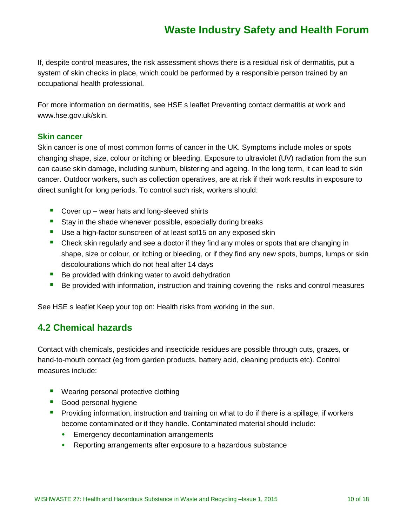If, despite control measures, the risk assessment shows there is a residual risk of dermatitis, put a system of skin checks in place, which could be performed by a responsible person trained by an occupational health professional.

For more information on dermatitis, see HSE s leaflet Preventing contact dermatitis at work and [www.hse.gov.uk/skin.](http://www.hse.gov.uk/skin)

#### **Skin cancer**

Skin cancer is one of most common forms of cancer in the UK. Symptoms include moles or spots changing shape, size, colour or itching or bleeding. Exposure to ultraviolet (UV) radiation from the sun can cause skin damage, including sunburn, blistering and ageing. In the long term, it can lead to skin cancer. Outdoor workers, such as collection operatives, are at risk if their work results in exposure to direct sunlight for long periods. To control such risk, workers should:

- Cover up  $-$  wear hats and long-sleeved shirts
- Stay in the shade whenever possible, especially during breaks
- Use a high-factor sunscreen of at least spf15 on any exposed skin
- **Check skin regularly and see a doctor if they find any moles or spots that are changing in** shape, size or colour, or itching or bleeding, or if they find any new spots, bumps, lumps or skin discolourations which do not heal after 14 days
- **Be provided with drinking water to avoid dehydration**
- **Be provided with information, instruction and training covering the risks and control measures**

See HSE s leaflet Keep your top on: Health risks from working in the sun.

### **4.2 Chemical hazards**

Contact with chemicals, pesticides and insecticide residues are possible through cuts, grazes, or hand-to-mouth contact (eg from garden products, battery acid, cleaning products etc). Control measures include:

- **Wearing personal protective clothing**
- Good personal hygiene
- **Providing information, instruction and training on what to do if there is a spillage, if workers** become contaminated or if they handle. Contaminated material should include:
	- **Emergency decontamination arrangements**
	- Reporting arrangements after exposure to a hazardous substance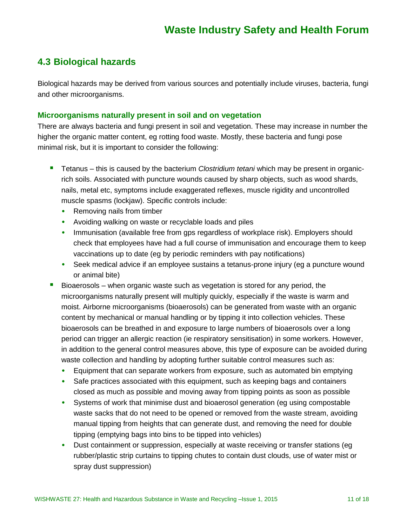### **4.3 Biological hazards**

Biological hazards may be derived from various sources and potentially include viruses, bacteria, fungi and other microorganisms.

#### **Microorganisms naturally present in soil and on vegetation**

There are always bacteria and fungi present in soil and vegetation. These may increase in number the higher the organic matter content, eg rotting food waste. Mostly, these bacteria and fungi pose minimal risk, but it is important to consider the following:

- Tetanus this is caused by the bacterium *Clostridium tetani* which may be present in organicrich soils. Associated with puncture wounds caused by sharp objects, such as wood shards, nails, metal etc, symptoms include exaggerated reflexes, muscle rigidity and uncontrolled muscle spasms (lockjaw). Specific controls include:
	- Removing nails from timber
	- Avoiding walking on waste or recyclable loads and piles
	- Immunisation (available free from gps regardless of workplace risk). Employers should check that employees have had a full course of immunisation and encourage them to keep vaccinations up to date (eg by periodic reminders with pay notifications)
	- Seek medical advice if an employee sustains a tetanus-prone injury (eg a puncture wound or animal bite)
- **Bioaerosols** when organic waste such as vegetation is stored for any period, the microorganisms naturally present will multiply quickly, especially if the waste is warm and moist. Airborne microorganisms (bioaerosols) can be generated from waste with an organic content by mechanical or manual handling or by tipping it into collection vehicles. These bioaerosols can be breathed in and exposure to large numbers of bioaerosols over a long period can trigger an allergic reaction (ie respiratory sensitisation) in some workers. However, in addition to the general control measures above, this type of exposure can be avoided during waste collection and handling by adopting further suitable control measures such as:
	- Equipment that can separate workers from exposure, such as automated bin emptying
	- Safe practices associated with this equipment, such as keeping bags and containers closed as much as possible and moving away from tipping points as soon as possible
	- Systems of work that minimise dust and bioaerosol generation (eg using compostable waste sacks that do not need to be opened or removed from the waste stream, avoiding manual tipping from heights that can generate dust, and removing the need for double tipping (emptying bags into bins to be tipped into vehicles)
	- Dust containment or suppression, especially at waste receiving or transfer stations (eg rubber/plastic strip curtains to tipping chutes to contain dust clouds, use of water mist or spray dust suppression)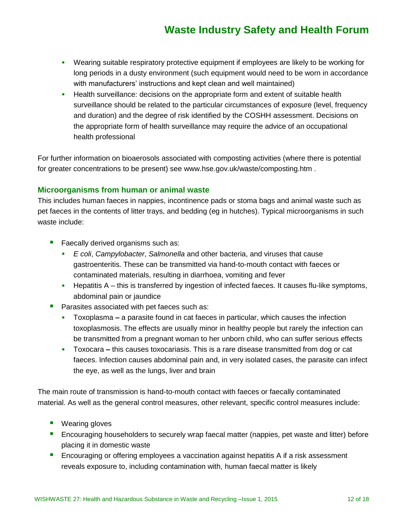- Wearing suitable respiratory protective equipment if employees are likely to be working for long periods in a dusty environment (such equipment would need to be worn in accordance with manufacturers' instructions and kept clean and well maintained)
- Health surveillance: decisions on the appropriate form and extent of suitable health surveillance should be related to the particular circumstances of exposure (level, frequency and duration) and the degree of risk identified by the COSHH assessment. Decisions on the appropriate form of health surveillance may require the advice of an occupational health professional

For further information on bioaerosols associated with composting activities (where there is potential for greater concentrations to be present) see [www.hse.gov.uk/waste/composting.htm](http://www.hse.gov.uk/waste/composting.htm) .

#### **Microorganisms from human or animal waste**

This includes human faeces in nappies, incontinence pads or stoma bags and animal waste such as pet faeces in the contents of litter trays, and bedding (eg in hutches). Typical microorganisms in such waste include:

- Faecally derived organisms such as:
	- *E coli*, *Campylobacter*, *Salmonella* and other bacteria, and viruses that cause gastroenteritis. These can be transmitted via hand-to-mouth contact with faeces or contaminated materials, resulting in diarrhoea, vomiting and fever
	- Hepatitis A this is transferred by ingestion of infected faeces. It causes flu-like symptoms, abdominal pain or jaundice
- Parasites associated with pet faeces such as:
	- Toxoplasma **–** a parasite found in cat faeces in particular, which causes the infection toxoplasmosis. The effects are usually minor in healthy people but rarely the infection can be transmitted from a pregnant woman to her unborn child, who can suffer serious effects
	- Toxocara **–** this causes toxocariasis. This is a rare disease transmitted from dog or cat faeces. Infection causes abdominal pain and, in very isolated cases, the parasite can infect the eye, as well as the lungs, liver and brain

The main route of transmission is hand-to-mouth contact with faeces or faecally contaminated material. As well as the general control measures, other relevant, specific control measures include:

- Wearing gloves
- **Encouraging householders to securely wrap faecal matter (nappies, pet waste and litter) before** placing it in domestic waste
- **Encouraging or offering employees a vaccination against hepatitis A if a risk assessment** reveals exposure to, including contamination with, human faecal matter is likely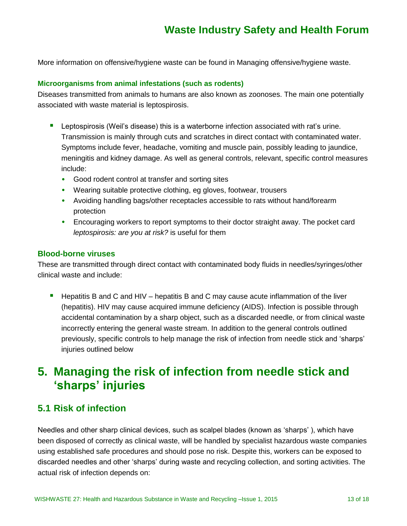More information on offensive/hygiene waste can be found in Managing offensive/hygiene waste.

#### **Microorganisms from animal infestations (such as rodents)**

Diseases transmitted from animals to humans are also known as zoonoses. The main one potentially associated with waste material is leptospirosis.

- **Leptospirosis (Weil's disease) this is a waterborne infection associated with rat's urine.** Transmission is mainly through cuts and scratches in direct contact with contaminated water. Symptoms include fever, headache, vomiting and muscle pain, possibly leading to jaundice, meningitis and kidney damage. As well as general controls, relevant, specific control measures include:
	- Good rodent control at transfer and sorting sites
	- Wearing suitable protective clothing, eg gloves, footwear, trousers
	- Avoiding handling bags/other receptacles accessible to rats without hand/forearm protection
	- Encouraging workers to report symptoms to their doctor straight away. The pocket card *leptospirosis: are you at risk?* is useful for them

#### **Blood-borne viruses**

These are transmitted through direct contact with contaminated body fluids in needles/syringes/other clinical waste and include:

 $\blacksquare$  Hepatitis B and C and HIV – hepatitis B and C may cause acute inflammation of the liver (hepatitis). HIV may cause acquired immune deficiency (AIDS). Infection is possible through accidental contamination by a sharp object, such as a discarded needle, or from clinical waste incorrectly entering the general waste stream. In addition to the general controls outlined previously, specific controls to help manage the risk of infection from needle stick and 'sharps' injuries outlined below

# **5. Managing the risk of infection from needle stick and 'sharps' injuries**

### **5.1 Risk of infection**

Needles and other sharp clinical devices, such as scalpel blades (known as 'sharps' ), which have been disposed of correctly as clinical waste, will be handled by specialist hazardous waste companies using established safe procedures and should pose no risk. Despite this, workers can be exposed to discarded needles and other 'sharps' during waste and recycling collection, and sorting activities. The actual risk of infection depends on: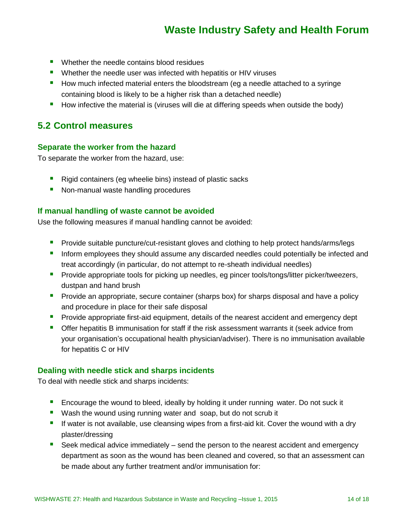- **Number 1** Whether the needle contains blood residues
- **Num** Whether the needle user was infected with hepatitis or HIV viruses
- How much infected material enters the bloodstream (eg a needle attached to a syringe containing blood is likely to be a higher risk than a detached needle)
- **How infective the material is (viruses will die at differing speeds when outside the body)**

### **5.2 Control measures**

#### **Separate the worker from the hazard**

To separate the worker from the hazard, use:

- Rigid containers (eg wheelie bins) instead of plastic sacks
- Non-manual waste handling procedures

#### **If manual handling of waste cannot be avoided**

Use the following measures if manual handling cannot be avoided:

- **Provide suitable puncture/cut-resistant gloves and clothing to help protect hands/arms/legs**
- **If inform employees they should assume any discarded needles could potentially be infected and** treat accordingly (in particular, do not attempt to re-sheath individual needles)
- **Provide appropriate tools for picking up needles, eg pincer tools/tongs/litter picker/tweezers,** dustpan and hand brush
- **Provide an appropriate, secure container (sharps box) for sharps disposal and have a policy** and procedure in place for their safe disposal
- **Provide appropriate first-aid equipment, details of the nearest accident and emergency dept**
- **Offer hepatitis B immunisation for staff if the risk assessment warrants it (seek advice from** your organisation's occupational health physician/adviser). There is no immunisation available for hepatitis C or HIV

#### **Dealing with needle stick and sharps incidents**

To deal with needle stick and sharps incidents:

- **E** Encourage the wound to bleed, ideally by holding it under running water. Do not suck it
- Wash the wound using running water and soap, but do not scrub it
- If water is not available, use cleansing wipes from a first-aid kit. Cover the wound with a dry plaster/dressing
- Seek medical advice immediately send the person to the nearest accident and emergency department as soon as the wound has been cleaned and covered, so that an assessment can be made about any further treatment and/or immunisation for: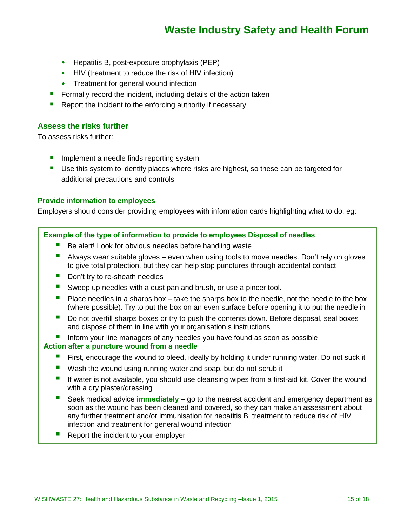- Hepatitis B, post-exposure prophylaxis (PEP)
- HIV (treatment to reduce the risk of HIV infection)
- Treatment for general wound infection
- Formally record the incident, including details of the action taken
- Report the incident to the enforcing authority if necessary

#### **Assess the risks further**

To assess risks further:

- **If** Implement a needle finds reporting system
- **Use this system to identify places where risks are highest, so these can be targeted for** additional precautions and controls

#### **Provide information to employees**

Employers should consider providing employees with information cards highlighting what to do, eg:

#### **Example of the type of information to provide to employees Disposal of needles**

- Be alert! Look for obvious needles before handling waste
- Always wear suitable gloves even when using tools to move needles. Don't rely on gloves to give total protection, but they can help stop punctures through accidental contact
- Don't try to re-sheath needles
- Sweep up needles with a dust pan and brush, or use a pincer tool.
- Place needles in a sharps box take the sharps box to the needle, not the needle to the box (where possible). Try to put the box on an even surface before opening it to put the needle in
- Do not overfill sharps boxes or try to push the contents down. Before disposal, seal boxes and dispose of them in line with your organisation s instructions
- Inform your line managers of any needles you have found as soon as possible

#### **Action after a puncture wound from a needle**

- **First, encourage the wound to bleed, ideally by holding it under running water. Do not suck it**
- Wash the wound using running water and soap, but do not scrub it
- If water is not available, you should use cleansing wipes from a first-aid kit. Cover the wound with a dry plaster/dressing
- Seek medical advice **immediately** go to the nearest accident and emergency department as soon as the wound has been cleaned and covered, so they can make an assessment about any further treatment and/or immunisation for hepatitis B, treatment to reduce risk of HIV infection and treatment for general wound infection
- $\blacksquare$  Report the incident to your employer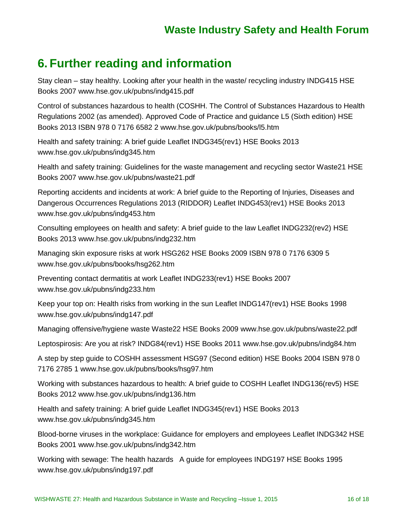# **6. Further reading and information**

Stay clean – stay healthy. Looking after your health in the waste/ recycling industry INDG415 HSE Books 2007 [www.hse.gov.uk/pubns/indg415.pdf](http://www.hse.gov.uk/pubns/indg415.pdf)

Control of substances hazardous to health (COSHH. The Control of Substances Hazardous to Health Regulations 2002 (as amended). Approved Code of Practice and guidance L5 (Sixth edition) HSE Books 2013 ISBN 978 0 7176 6582 2 [www.hse.gov.uk/pubns/books/l5.htm](http://www.hse.gov.uk/pubns/books/l5.htm)

Health and safety training: A brief guide Leaflet INDG345(rev1) HSE Books 2013 [www.hse.gov.uk/pubns/indg345.htm](http://www.hse.gov.uk/pubns/indg345.htm)

Health and safety training: Guidelines for the waste management and recycling sector Waste21 HSE Books 2007 [www.hse.gov.uk/pubns/waste21.pdf](http://www.hse.gov.uk/pubns/waste21.pdf)

Reporting accidents and incidents at work: A brief guide to the Reporting of Injuries, Diseases and Dangerous Occurrences Regulations 2013 (RIDDOR) Leaflet INDG453(rev1) HSE Books 2013 [www.hse.gov.uk/pubns/indg453.htm](http://www.hse.gov.uk/pubns/indg453.htm)

Consulting employees on health and safety: A brief guide to the law Leaflet INDG232(rev2) HSE Books 2013 [www.hse.gov.uk/pubns/indg232.htm](http://www.hse.gov.uk/pubns/indg232.htm)

Managing skin exposure risks at work HSG262 HSE Books 2009 ISBN 978 0 7176 6309 5 [www.hse.gov.uk/pubns/books/hsg262.htm](http://www.hse.gov.uk/pubns/books/hsg262.htm)

Preventing contact dermatitis at work Leaflet INDG233(rev1) HSE Books 2007 [www.hse.gov.uk/pubns/indg233.htm](http://www.hse.gov.uk/pubns/indg233.htm)

Keep your top on: Health risks from working in the sun Leaflet INDG147(rev1) HSE Books 1998 [www.hse.gov.uk/pubns/indg147.pdf](http://www.hse.gov.uk/pubns/indg147.pdf)

Managing offensive/hygiene waste Waste22 HSE Books 2009 [www.hse.gov.uk/pubns/waste22.pdf](http://www.hse.gov.uk/pubns/waste22.pdf)

Leptospirosis: Are you at risk? INDG84(rev1) HSE Books 2011 [www.hse.gov.uk/pubns/indg84.htm](http://www.hse.gov.uk/pubns/indg84.htm)

A step by step guide to COSHH assessment HSG97 (Second edition) HSE Books 2004 ISBN 978 0 7176 2785 1 [www.hse.gov.uk/pubns/books/hsg97.htm](http://www.hse.gov.uk/pubns/books/hsg97.htm)

Working with substances hazardous to health: A brief guide to COSHH Leaflet INDG136(rev5) HSE Books 2012 [www.hse.gov.uk/pubns/indg136.htm](http://www.hse.gov.uk/pubns/indg136.htm)

Health and safety training: A brief guide Leaflet INDG345(rev1) HSE Books 2013 [www.hse.gov.uk/pubns/indg345.htm](http://www.hse.gov.uk/pubns/indg345.htm)

Blood-borne viruses in the workplace: Guidance for employers and employees Leaflet INDG342 HSE Books 2001 [www.hse.gov.uk/pubns/indg342.htm](http://www.hse.gov.uk/pubns/indg342.htm)

Working with sewage: The health hazards A guide for employees INDG197 HSE Books 1995 [www.hse.gov.uk/pubns/indg197.pdf](http://www.hse.gov.uk/pubns/indg197.pdf)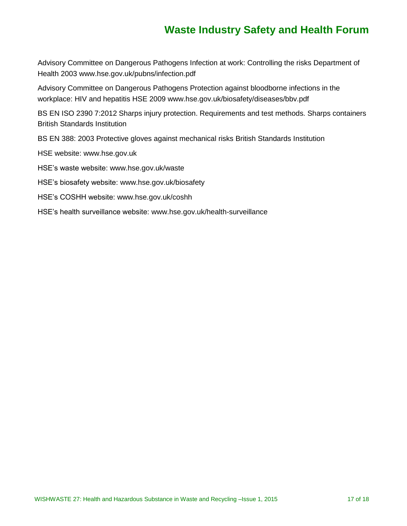Advisory Committee on Dangerous Pathogens Infection at work: Controlling the risks Department of Health 2003 [www.hse.gov.uk/pubns/infection.pdf](http://www.hse.gov.uk/pubns/infection.pdf)

Advisory Committee on Dangerous Pathogens Protection against bloodborne infections in the workplace: HIV and hepatitis HSE 2009 [www.hse.gov.uk/biosafety/diseases/bbv.pdf](http://www.hse.gov.uk/biosafety/diseases/bbv.pdf)

BS EN ISO 2390 7:2012 Sharps injury protection. Requirements and test methods. Sharps containers British Standards Institution

BS EN 388: 2003 Protective gloves against mechanical risks British Standards Institution

HSE website: [www.hse.gov.uk](http://www.hse.gov.uk/)

HSE's waste website: [www.hse.gov.uk/waste](http://www.hse.gov.uk/waste)

HSE's biosafety website: [www.hse.gov.uk/biosafety](http://www.hse.gov.uk/biosafety)

HSE's COSHH website: [www.hse.gov.uk/coshh](http://www.hse.gov.uk/coshh)

HSE's health surveillance website: [www.hse.gov.uk/health-surveillance](http://www.hse.gov.uk/health-surveillance)